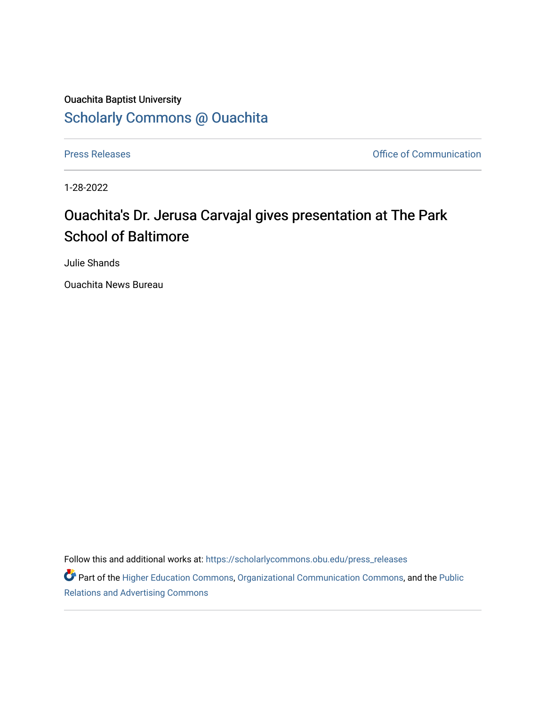## Ouachita Baptist University [Scholarly Commons @ Ouachita](https://scholarlycommons.obu.edu/)

[Press Releases](https://scholarlycommons.obu.edu/press_releases) **Press Releases Communication** 

1-28-2022

## Ouachita's Dr. Jerusa Carvajal gives presentation at The Park School of Baltimore

Julie Shands

Ouachita News Bureau

Follow this and additional works at: [https://scholarlycommons.obu.edu/press\\_releases](https://scholarlycommons.obu.edu/press_releases?utm_source=scholarlycommons.obu.edu%2Fpress_releases%2F1043&utm_medium=PDF&utm_campaign=PDFCoverPages)

Part of the [Higher Education Commons,](http://network.bepress.com/hgg/discipline/1245?utm_source=scholarlycommons.obu.edu%2Fpress_releases%2F1043&utm_medium=PDF&utm_campaign=PDFCoverPages) [Organizational Communication Commons,](http://network.bepress.com/hgg/discipline/335?utm_source=scholarlycommons.obu.edu%2Fpress_releases%2F1043&utm_medium=PDF&utm_campaign=PDFCoverPages) and the [Public](http://network.bepress.com/hgg/discipline/336?utm_source=scholarlycommons.obu.edu%2Fpress_releases%2F1043&utm_medium=PDF&utm_campaign=PDFCoverPages) [Relations and Advertising Commons](http://network.bepress.com/hgg/discipline/336?utm_source=scholarlycommons.obu.edu%2Fpress_releases%2F1043&utm_medium=PDF&utm_campaign=PDFCoverPages)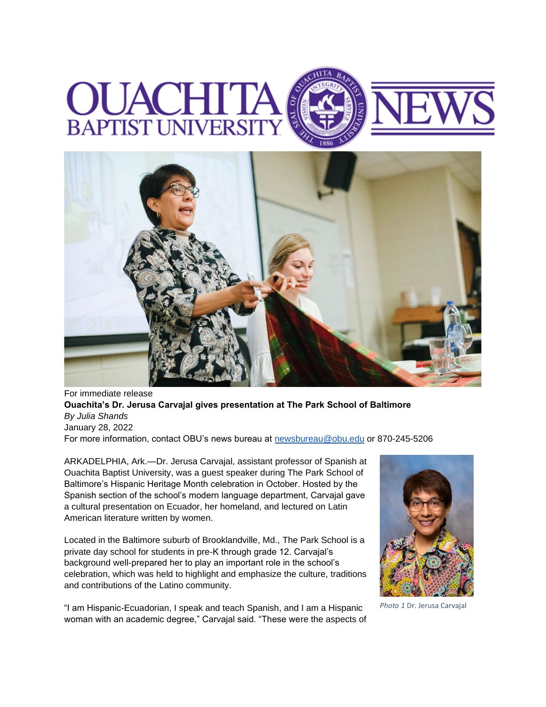## **OUACE BAPTIST UNIVERSI**



For immediate release **Ouachita's Dr. Jerusa Carvajal gives presentation at The Park School of Baltimore** *By Julia Shands* January 28, 2022 For more information, contact OBU's news bureau at [newsbureau@obu.edu](mailto:newsbureau@obu.edu) or 870-245-5206

ARKADELPHIA, Ark.—Dr. Jerusa Carvajal, assistant professor of Spanish at Ouachita Baptist University, was a guest speaker during The Park School of Baltimore's Hispanic Heritage Month celebration in October. Hosted by the Spanish section of the school's modern language department, Carvajal gave a cultural presentation on Ecuador, her homeland, and lectured on Latin American literature written by women.

Located in the Baltimore suburb of Brooklandville, Md., The Park School is a private day school for students in pre-K through grade 12. Carvajal's background well-prepared her to play an important role in the school's celebration, which was held to highlight and emphasize the culture, traditions and contributions of the Latino community.

"I am Hispanic-Ecuadorian, I speak and teach Spanish, and I am a Hispanic woman with an academic degree," Carvajal said. "These were the aspects of



*Photo 1* Dr. Jerusa Carvajal